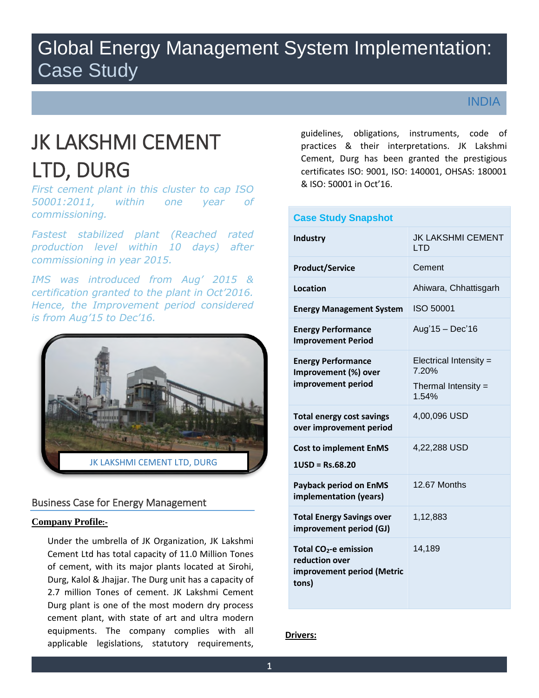## Global Energy Management System Implementation: Case Study

INDIA

# JK LAKSHMI CEMENT LTD, DURG

*First cement plant in this cluster to cap ISO 50001:2011, within one year of commissioning.*

*Fastest stabilized plant (Reached rated production level within 10 days) after commissioning in year 2015.*

*IMS was introduced from Aug' 2015 & certification granted to the plant in Oct'2016. Hence, the Improvement period considered is from Aug'15 to Dec'16.*



### Business Case for Energy Management

#### **Company Profile:-**

Under the umbrella of JK Organization, JK Lakshmi Cement Ltd has total capacity of 11.0 Million Tones of cement, with its major plants located at Sirohi, Durg, Kalol & Jhajjar. The Durg unit has a capacity of 2.7 million Tones of cement. JK Lakshmi Cement Durg plant is one of the most modern dry process cement plant, with state of art and ultra modern equipments. The company complies with all applicable legislations, statutory requirements, guidelines, obligations, instruments, code of practices & their interpretations. JK Lakshmi Cement, Durg has been granted the prestigious certificates ISO: 9001, ISO: 140001, OHSAS: 180001 & ISO: 50001 in Oct'16.

| <b>Case Study Snapshot</b>                                                       |                                        |
|----------------------------------------------------------------------------------|----------------------------------------|
| Industry                                                                         | <b>JK LAKSHMI CEMENT</b><br><b>LTD</b> |
| <b>Product/Service</b>                                                           | Cement                                 |
| Location                                                                         | Ahiwara, Chhattisgarh                  |
| <b>Energy Management System</b>                                                  | ISO 50001                              |
| <b>Energy Performance</b><br><b>Improvement Period</b>                           | Aug'15 - Dec'16                        |
| <b>Energy Performance</b><br>Improvement (%) over<br>improvement period          | Electrical Intensity =<br>7.20%        |
|                                                                                  | Thermal Intensity $=$<br>1.54%         |
| <b>Total energy cost savings</b><br>over improvement period                      | 4,00,096 USD                           |
| <b>Cost to implement EnMS</b><br>$1USD = Rs.68.20$                               | 4,22,288 USD                           |
| <b>Payback period on EnMS</b><br>implementation (years)                          | 12.67 Months                           |
| <b>Total Energy Savings over</b><br>improvement period (GJ)                      | 1,12,883                               |
| Total $CO2$ -e emission<br>reduction over<br>improvement period (Metric<br>tons) | 14,189                                 |

#### **Drivers:**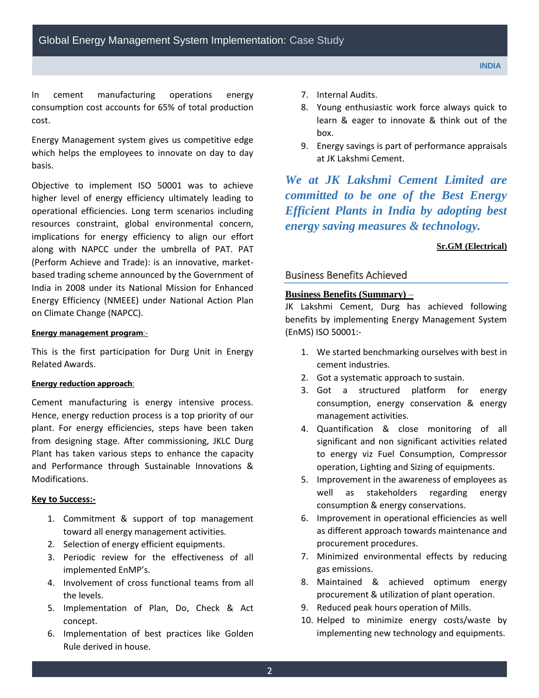In cement manufacturing operations energy consumption cost accounts for 65% of total production cost.

Energy Management system gives us competitive edge which helps the employees to innovate on day to day basis.

Objective to implement ISO 50001 was to achieve higher level of energy efficiency ultimately leading to operational efficiencies. Long term scenarios including resources constraint, global environmental concern, implications for energy efficiency to align our effort along with NAPCC under the umbrella of PAT. PAT (Perform Achieve and Trade): is an innovative, marketbased trading scheme announced by the Government of India in 2008 under its National Mission for Enhanced Energy Efficiency (NMEEE) under National Action Plan on Climate Change (NAPCC).

#### **Energy management program**:-

This is the first participation for Durg Unit in Energy Related Awards.

#### **Energy reduction approach**:

Cement manufacturing is energy intensive process. Hence, energy reduction process is a top priority of our plant. For energy efficiencies, steps have been taken from designing stage. After commissioning, JKLC Durg Plant has taken various steps to enhance the capacity and Performance through Sustainable Innovations & Modifications.

#### **Key to Success:-**

- 1. Commitment & support of top management toward all energy management activities.
- 2. Selection of energy efficient equipments.
- 3. Periodic review for the effectiveness of all implemented EnMP's.
- 4. Involvement of cross functional teams from all the levels.
- 5. Implementation of Plan, Do, Check & Act concept.
- 6. Implementation of best practices like Golden Rule derived in house.
- 7. Internal Audits.
- 8. Young enthusiastic work force always quick to learn & eager to innovate & think out of the box.
- 9. Energy savings is part of performance appraisals at JK Lakshmi Cement.

*We at JK Lakshmi Cement Limited are committed to be one of the Best Energy Efficient Plants in India by adopting best energy saving measures & technology.*

#### **Sr.GM (Electrical)**

#### Business Benefits Achieved

#### **Business Benefits (Summary)** –

JK Lakshmi Cement, Durg has achieved following benefits by implementing Energy Management System (EnMS) ISO 50001:-

- 1. We started benchmarking ourselves with best in cement industries.
- 2. Got a systematic approach to sustain.
- 3. Got a structured platform for energy consumption, energy conservation & energy management activities.
- 4. Quantification & close monitoring of all significant and non significant activities related to energy viz Fuel Consumption, Compressor operation, Lighting and Sizing of equipments.
- 5. Improvement in the awareness of employees as well as stakeholders regarding energy consumption & energy conservations.
- 6. Improvement in operational efficiencies as well as different approach towards maintenance and procurement procedures.
- 7. Minimized environmental effects by reducing gas emissions.
- 8. Maintained & achieved optimum energy procurement & utilization of plant operation.
- 9. Reduced peak hours operation of Mills.
- 10. Helped to minimize energy costs/waste by implementing new technology and equipments.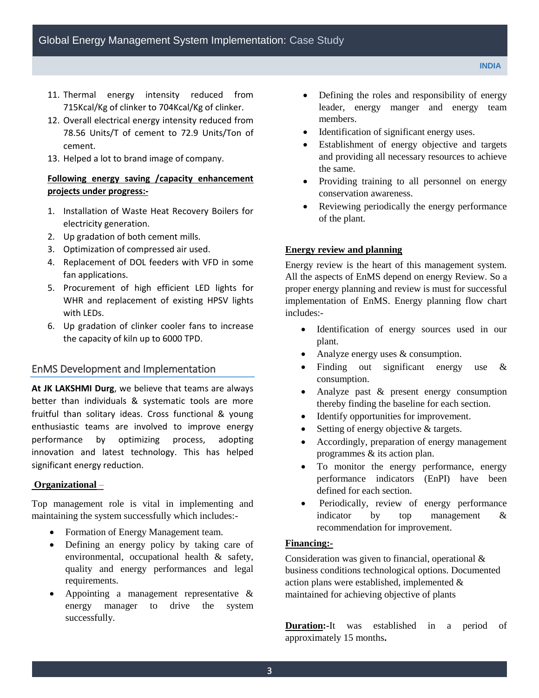- 11. Thermal energy intensity reduced from 715Kcal/Kg of clinker to 704Kcal/Kg of clinker.
- 12. Overall electrical energy intensity reduced from 78.56 Units/T of cement to 72.9 Units/Ton of cement.
- 13. Helped a lot to brand image of company.

#### **Following energy saving /capacity enhancement projects under progress:-**

- 1. Installation of Waste Heat Recovery Boilers for electricity generation.
- 2. Up gradation of both cement mills.
- 3. Optimization of compressed air used.
- 4. Replacement of DOL feeders with VFD in some fan applications.
- 5. Procurement of high efficient LED lights for WHR and replacement of existing HPSV lights with LEDs.
- 6. Up gradation of clinker cooler fans to increase the capacity of kiln up to 6000 TPD.

#### EnMS Development and Implementation

**At JK LAKSHMI Durg**, we believe that teams are always better than individuals & systematic tools are more fruitful than solitary ideas. Cross functional & young enthusiastic teams are involved to improve energy performance by optimizing process, adopting innovation and latest technology. This has helped significant energy reduction.

#### **Organizational** –

Top management role is vital in implementing and maintaining the system successfully which includes:-

- Formation of Energy Management team.
- Defining an energy policy by taking care of environmental, occupational health & safety, quality and energy performances and legal requirements.
- Appointing a management representative & energy manager to drive the system successfully.
- Defining the roles and responsibility of energy leader, energy manger and energy team members.
- Identification of significant energy uses.
- Establishment of energy objective and targets and providing all necessary resources to achieve the same.
- Providing training to all personnel on energy conservation awareness.
- Reviewing periodically the energy performance of the plant.

#### **Energy review and planning**

Energy review is the heart of this management system. All the aspects of EnMS depend on energy Review. So a proper energy planning and review is must for successful implementation of EnMS. Energy planning flow chart includes:-

- Identification of energy sources used in our plant.
- Analyze energy uses & consumption.
- Finding out significant energy use & consumption.
- Analyze past & present energy consumption thereby finding the baseline for each section.
- Identify opportunities for improvement.
- Setting of energy objective & targets.
- Accordingly, preparation of energy management programmes & its action plan.
- To monitor the energy performance, energy performance indicators (EnPI) have been defined for each section.
- Periodically, review of energy performance indicator by top management & recommendation for improvement.

#### **Financing:-**

Consideration was given to financial, operational & business conditions technological options. Documented action plans were established, implemented & maintained for achieving objective of plants

**Duration:-**It was established in a period of approximately 15 months**.**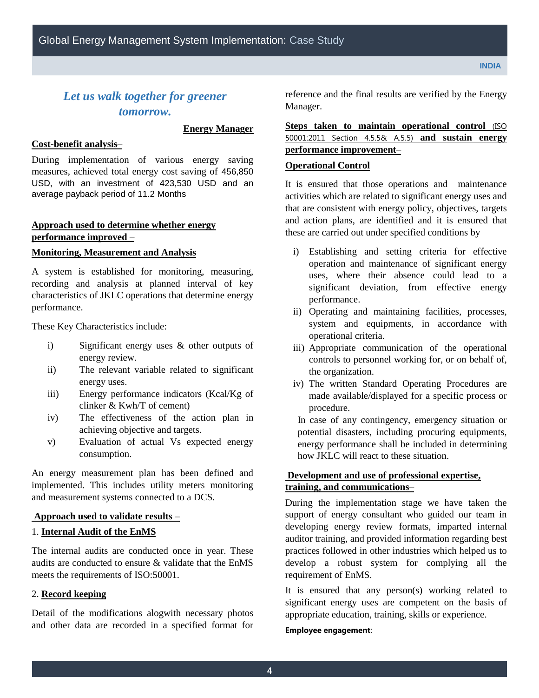## *Let us walk together for greener tomorrow.*

**Energy Manager**

#### **Cost-benefit analysis**–

During implementation of various energy saving measures, achieved total energy cost saving of 456,850 USD, with an investment of 423,530 USD and an average payback period of 11.2 Months

#### **Approach used to determine whether energy performance improved** –

#### **Monitoring, Measurement and Analysis**

A system is established for monitoring, measuring, recording and analysis at planned interval of key characteristics of JKLC operations that determine energy performance.

These Key Characteristics include:

- i) Significant energy uses & other outputs of energy review.
- ii) The relevant variable related to significant energy uses.
- iii) Energy performance indicators (Kcal/Kg of clinker & Kwh/T of cement)
- iv) The effectiveness of the action plan in achieving objective and targets.
- v) Evaluation of actual Vs expected energy consumption.

An energy measurement plan has been defined and implemented. This includes utility meters monitoring and measurement systems connected to a DCS.

#### **Approach used to validate results** –

#### 1. **Internal Audit of the EnMS**

The internal audits are conducted once in year. These audits are conducted to ensure & validate that the EnMS meets the requirements of ISO:50001.

#### 2. **Record keeping**

Detail of the modifications alogwith necessary photos and other data are recorded in a specified format for reference and the final results are verified by the Energy Manager.

#### Steps taken to maintain operational control (ISO 50001:2011 Section 4.5.5& A.5.5) **and sustain energy performance improvement**–

#### **Operational Control**

It is ensured that those operations and maintenance activities which are related to significant energy uses and that are consistent with energy policy, objectives, targets and action plans, are identified and it is ensured that these are carried out under specified conditions by

- i) Establishing and setting criteria for effective operation and maintenance of significant energy uses, where their absence could lead to a significant deviation, from effective energy performance.
- ii) Operating and maintaining facilities, processes, system and equipments, in accordance with operational criteria.
- iii) Appropriate communication of the operational controls to personnel working for, or on behalf of, the organization.
- iv) The written Standard Operating Procedures are made available/displayed for a specific process or procedure.

In case of any contingency, emergency situation or potential disasters, including procuring equipments, energy performance shall be included in determining how JKLC will react to these situation.

#### **Development and use of professional expertise, training, and communications**–

During the implementation stage we have taken the support of energy consultant who guided our team in developing energy review formats, imparted internal auditor training, and provided information regarding best practices followed in other industries which helped us to develop a robust system for complying all the requirement of EnMS.

It is ensured that any person(s) working related to significant energy uses are competent on the basis of appropriate education, training, skills or experience.

#### **Employee engagement**: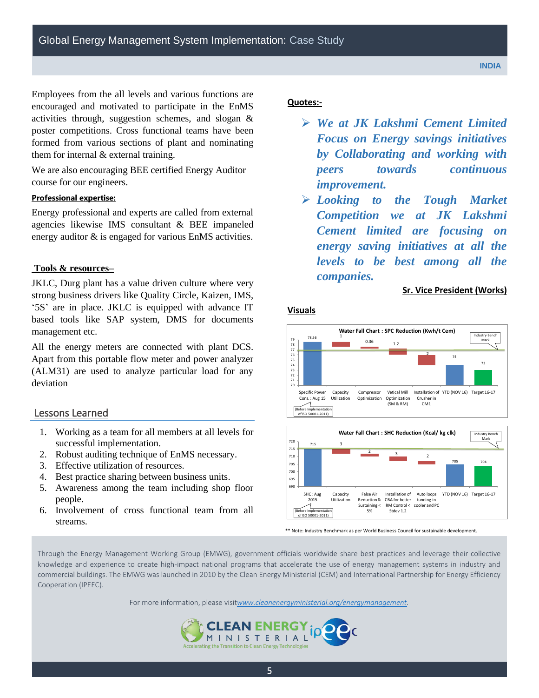Employees from the all levels and various functions are encouraged and motivated to participate in the EnMS activities through, suggestion schemes, and slogan & poster competitions. Cross functional teams have been formed from various sections of plant and nominating them for internal & external training.

We are also encouraging BEE certified Energy Auditor course for our engineers.

#### **Professional expertise:**

Energy professional and experts are called from external agencies likewise IMS consultant & BEE impaneled energy auditor & is engaged for various EnMS activities.

#### **Tools & resources–**

JKLC, Durg plant has a value driven culture where very strong business drivers like Quality Circle, Kaizen, IMS, '5S' are in place. JKLC is equipped with advance IT based tools like SAP system, DMS for documents management etc.

All the energy meters are connected with plant DCS. Apart from this portable flow meter and power analyzer (ALM31) are used to analyze particular load for any deviation

#### Lessons Learned

- 1. Working as a team for all members at all levels for successful implementation.
- 2. Robust auditing technique of EnMS necessary.
- 3. Effective utilization of resources.
- 4. Best practice sharing between business units.
- 5. Awareness among the team including shop floor people.
- 6. Involvement of cross functional team from all streams.

#### **Quotes:-**

- *We at JK Lakshmi Cement Limited Focus on Energy savings initiatives by Collaborating and working with peers towards continuous improvement.*
- *Looking to the Tough Market Competition we at JK Lakshmi Cement limited are focusing on energy saving initiatives at all the levels to be best among all the companies.*

#### **Sr. Vice President (Works)**

#### **Visuals**





\*\* Note: Industry Benchmark as per World Business Council for sustainable development.

Through the Energy Management Working Group (EMWG), government officials worldwide share best practices and leverage their collective knowledge and experience to create high-impact national programs that accelerate the use of energy management systems in industry and commercial buildings. The EMWG was launched in 2010 by the Clean Energy Ministerial (CEM) and International Partnership for Energy Efficiency Cooperation (IPEEC).

For more information, please visit*[www.cleanenergyministerial.org/energymanagement.](http://www.cleanenergyministerial.org/energymanagement)*